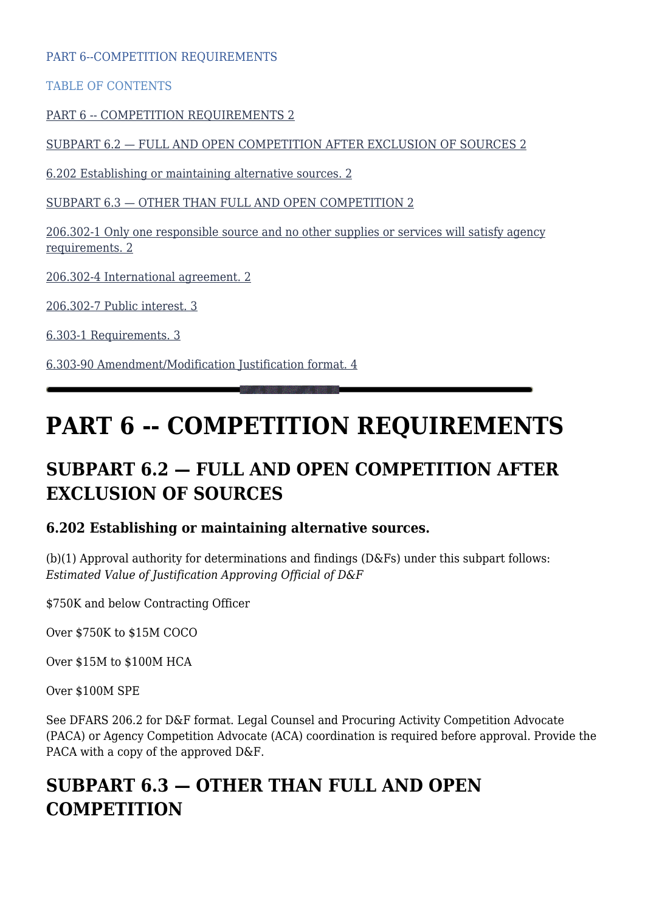PART 6--COMPETITION REQUIREMENTS

TABLE OF CONTENTS

[PART 6 -- COMPETITION REQUIREMENTS 2](#page--1-0)

[SUBPART 6.2 — FULL AND OPEN COMPETITION AFTER EXCLUSION OF SOURCES 2](#page--1-0)

[6.202 Establishing or maintaining alternative sources. 2](#page--1-0)

[SUBPART 6.3 — OTHER THAN FULL AND OPEN COMPETITION 2](#page--1-0)

[206.302-1 Only one responsible source and no other supplies or services will satisfy agency](#page--1-0) [requirements. 2](#page--1-0)

[206.302-4 International agreement. 2](#page--1-0)

[206.302-7 Public interest. 3](#page--1-0)

[6.303-1 Requirements. 3](#page--1-0)

[6.303-90 Amendment/Modification Justification format. 4](#page--1-0)

# **PART 6 -- COMPETITION REQUIREMENTS**

# **SUBPART 6.2 — FULL AND OPEN COMPETITION AFTER EXCLUSION OF SOURCES**

## **6.202 Establishing or maintaining alternative sources.**

(b)(1) Approval authority for determinations and findings (D&Fs) under this subpart follows: *Estimated Value of Justification Approving Official of D&F*

\$750K and below Contracting Officer

Over \$750K to \$15M COCO

Over \$15M to \$100M HCA

Over \$100M SPE

See DFARS 206.2 for D&F format. Legal Counsel and Procuring Activity Competition Advocate (PACA) or Agency Competition Advocate (ACA) coordination is required before approval. Provide the PACA with a copy of the approved D&F.

# **SUBPART 6.3 — OTHER THAN FULL AND OPEN COMPETITION**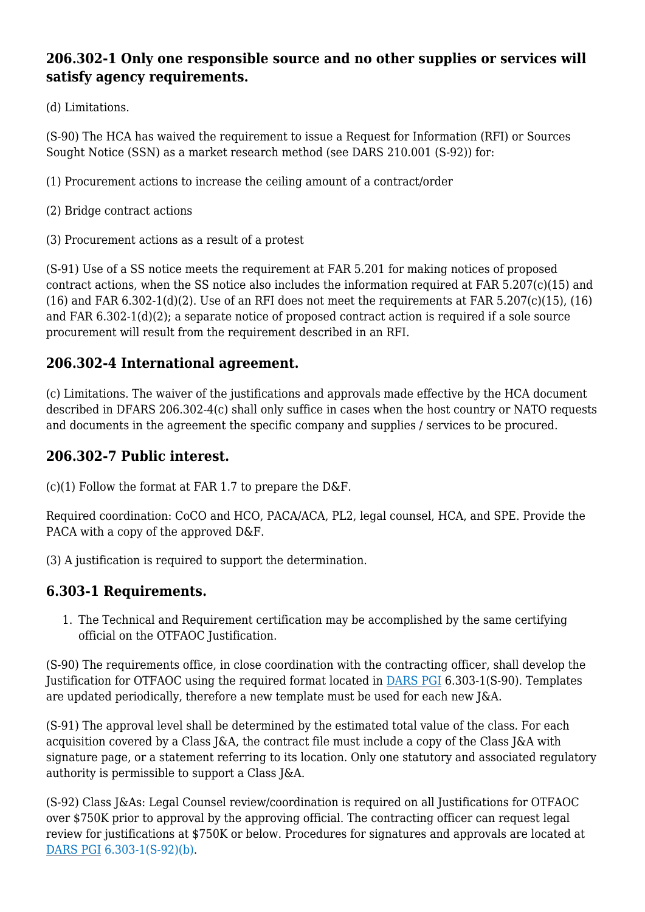# **206.302-1 Only one responsible source and no other supplies or services will satisfy agency requirements.**

(d) Limitations.

(S-90) The HCA has waived the requirement to issue a Request for Information (RFI) or Sources Sought Notice (SSN) as a market research method (see DARS 210.001 (S-92)) for:

- (1) Procurement actions to increase the ceiling amount of a contract/order
- (2) Bridge contract actions
- (3) Procurement actions as a result of a protest

(S-91) Use of a SS notice meets the requirement at FAR 5.201 for making notices of proposed contract actions, when the SS notice also includes the information required at FAR 5.207(c)(15) and  $(16)$  and FAR 6.302-1(d)(2). Use of an RFI does not meet the requirements at FAR 5.207(c)(15), (16) and FAR 6.302-1(d)(2); a separate notice of proposed contract action is required if a sole source procurement will result from the requirement described in an RFI.

## **206.302-4 International agreement.**

(c) Limitations. The waiver of the justifications and approvals made effective by the HCA document described in DFARS 206.302-4(c) shall only suffice in cases when the host country or NATO requests and documents in the agreement the specific company and supplies / services to be procured.

# **206.302-7 Public interest.**

 $(c)(1)$  Follow the format at FAR 1.7 to prepare the D&F.

Required coordination: CoCO and HCO, PACA/ACA, PL2, legal counsel, HCA, and SPE. Provide the PACA with a copy of the approved D&F.

(3) A justification is required to support the determination.

## **6.303-1 Requirements.**

1. The Technical and Requirement certification may be accomplished by the same certifying official on the OTFAOC Justification.

(S-90) The requirements office, in close coordination with the contracting officer, shall develop the Justification for OTFAOC using the required format located in [DARS PGI](https://disa.deps.mil/org/PL2/Pages/DITCORefs.aspx) 6.303-1(S-90). Templates are updated periodically, therefore a new template must be used for each new J&A.

(S-91) The approval level shall be determined by the estimated total value of the class. For each acquisition covered by a Class J&A, the contract file must include a copy of the Class J&A with signature page, or a statement referring to its location. Only one statutory and associated regulatory authority is permissible to support a Class J&A.

(S-92) Class J&As: Legal Counsel review/coordination is required on all Justifications for OTFAOC over \$750K prior to approval by the approving official. The contracting officer can request legal review for justifications at \$750K or below. Procedures for signatures and approvals are located at [DARS PGI](https://disa.deps.mil/org/PL2/Pages/DITCORefs.aspx) 6.303-1(S-92)(b).